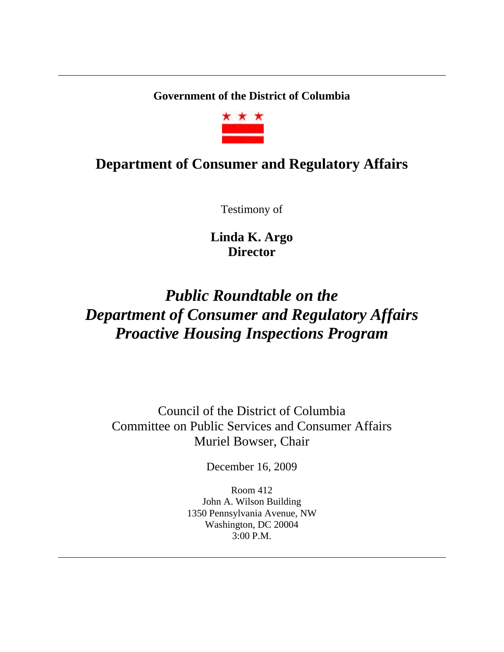**Government of the District of Columbia** 



# **Department of Consumer and Regulatory Affairs**

Testimony of

**Linda K. Argo Director**

# *Public Roundtable on the Department of Consumer and Regulatory Affairs Proactive Housing Inspections Program*

Council of the District of Columbia Committee on Public Services and Consumer Affairs Muriel Bowser, Chair

December 16, 2009

Room 412 John A. Wilson Building 1350 Pennsylvania Avenue, NW Washington, DC 20004 3:00 P.M.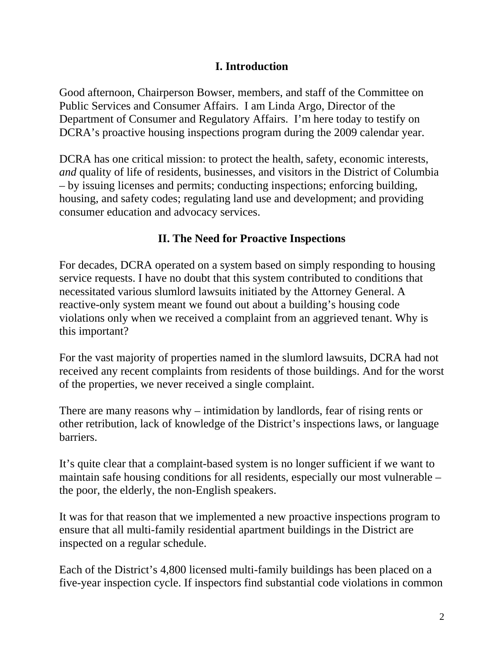### **I. Introduction**

Good afternoon, Chairperson Bowser, members, and staff of the Committee on Public Services and Consumer Affairs. I am Linda Argo, Director of the Department of Consumer and Regulatory Affairs. I'm here today to testify on DCRA's proactive housing inspections program during the 2009 calendar year.

DCRA has one critical mission: to protect the health, safety, economic interests, *and* quality of life of residents, businesses, and visitors in the District of Columbia – by issuing licenses and permits; conducting inspections; enforcing building, housing, and safety codes; regulating land use and development; and providing consumer education and advocacy services.

## **II. The Need for Proactive Inspections**

For decades, DCRA operated on a system based on simply responding to housing service requests. I have no doubt that this system contributed to conditions that necessitated various slumlord lawsuits initiated by the Attorney General. A reactive-only system meant we found out about a building's housing code violations only when we received a complaint from an aggrieved tenant. Why is this important?

For the vast majority of properties named in the slumlord lawsuits, DCRA had not received any recent complaints from residents of those buildings. And for the worst of the properties, we never received a single complaint.

There are many reasons why – intimidation by landlords, fear of rising rents or other retribution, lack of knowledge of the District's inspections laws, or language barriers.

It's quite clear that a complaint-based system is no longer sufficient if we want to maintain safe housing conditions for all residents, especially our most vulnerable – the poor, the elderly, the non-English speakers.

It was for that reason that we implemented a new proactive inspections program to ensure that all multi-family residential apartment buildings in the District are inspected on a regular schedule.

Each of the District's 4,800 licensed multi-family buildings has been placed on a five-year inspection cycle. If inspectors find substantial code violations in common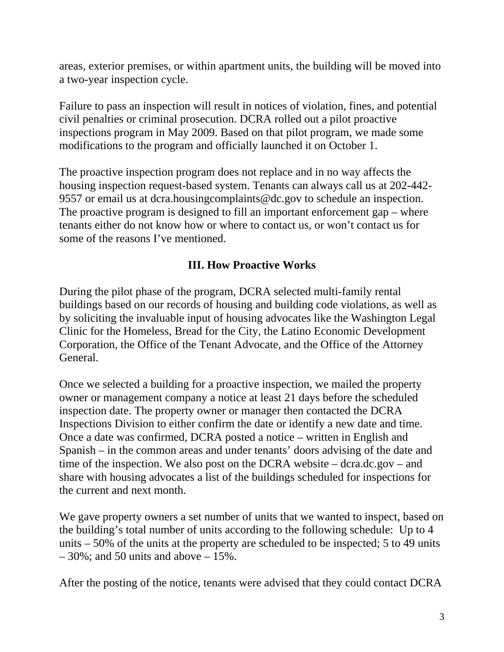areas, exterior premises, or within apartment units, the building will be moved into a two-year inspection cycle.

Failure to pass an inspection will result in notices of violation, fines, and potential civil penalties or criminal prosecution. DCRA rolled out a pilot proactive inspections program in May 2009. Based on that pilot program, we made some modifications to the program and officially launched it on October 1.

The proactive inspection program does not replace and in no way affects the housing inspection request-based system. Tenants can always call us at 202-442- 9557 or email us at dcra.housingcomplaints@dc.gov to schedule an inspection. The proactive program is designed to fill an important enforcement gap – where tenants either do not know how or where to contact us, or won't contact us for some of the reasons I've mentioned.

#### **III. How Proactive Works**

During the pilot phase of the program, DCRA selected multi-family rental buildings based on our records of housing and building code violations, as well as by soliciting the invaluable input of housing advocates like the Washington Legal Clinic for the Homeless, Bread for the City, the Latino Economic Development Corporation, the Office of the Tenant Advocate, and the Office of the Attorney General.

Once we selected a building for a proactive inspection, we mailed the property owner or management company a notice at least 21 days before the scheduled inspection date. The property owner or manager then contacted the DCRA Inspections Division to either confirm the date or identify a new date and time. Once a date was confirmed, DCRA posted a notice – written in English and Spanish – in the common areas and under tenants' doors advising of the date and time of the inspection. We also post on the DCRA website – dcra.dc.gov – and share with housing advocates a list of the buildings scheduled for inspections for the current and next month.

We gave property owners a set number of units that we wanted to inspect, based on the building's total number of units according to the following schedule: Up to 4 units – 50% of the units at the property are scheduled to be inspected; 5 to 49 units  $-30\%$ ; and 50 units and above  $-15\%$ .

After the posting of the notice, tenants were advised that they could contact DCRA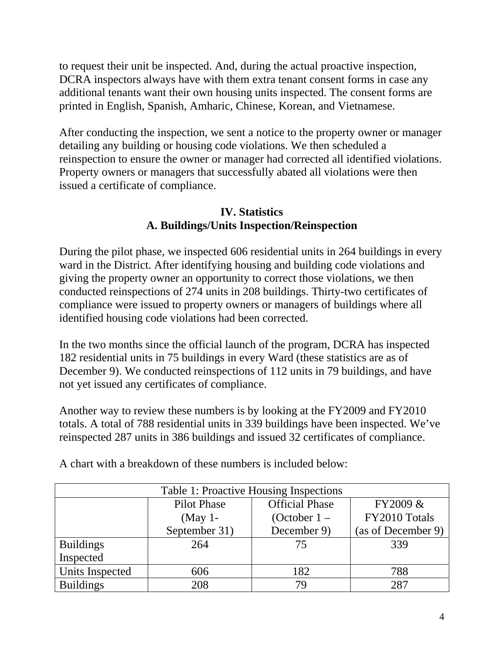to request their unit be inspected. And, during the actual proactive inspection, DCRA inspectors always have with them extra tenant consent forms in case any additional tenants want their own housing units inspected. The consent forms are printed in English, Spanish, Amharic, Chinese, Korean, and Vietnamese.

After conducting the inspection, we sent a notice to the property owner or manager detailing any building or housing code violations. We then scheduled a reinspection to ensure the owner or manager had corrected all identified violations. Property owners or managers that successfully abated all violations were then issued a certificate of compliance.

# **IV. Statistics A. Buildings/Units Inspection/Reinspection**

During the pilot phase, we inspected 606 residential units in 264 buildings in every ward in the District. After identifying housing and building code violations and giving the property owner an opportunity to correct those violations, we then conducted reinspections of 274 units in 208 buildings. Thirty-two certificates of compliance were issued to property owners or managers of buildings where all identified housing code violations had been corrected.

In the two months since the official launch of the program, DCRA has inspected 182 residential units in 75 buildings in every Ward (these statistics are as of December 9). We conducted reinspections of 112 units in 79 buildings, and have not yet issued any certificates of compliance.

Another way to review these numbers is by looking at the FY2009 and FY2010 totals. A total of 788 residential units in 339 buildings have been inspected. We've reinspected 287 units in 386 buildings and issued 32 certificates of compliance.

| Table 1: Proactive Housing Inspections |                    |                       |                    |  |
|----------------------------------------|--------------------|-----------------------|--------------------|--|
|                                        | <b>Pilot Phase</b> | <b>Official Phase</b> | FY2009 &           |  |
|                                        | $(May 1-$          | (October $1 -$        | FY2010 Totals      |  |
|                                        | September 31)      | December 9)           | (as of December 9) |  |
| <b>Buildings</b>                       | 264                | 75                    | 339                |  |
| Inspected                              |                    |                       |                    |  |
| Units Inspected                        | 606                | 182                   | 788                |  |
| <b>Buildings</b>                       | 208                | 79                    | 287                |  |

A chart with a breakdown of these numbers is included below: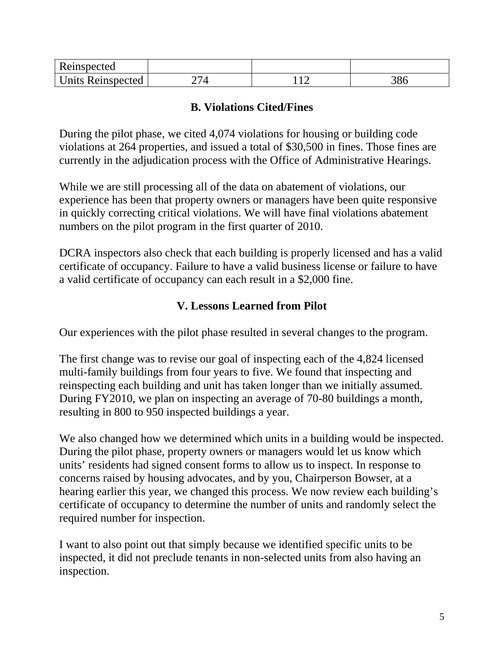| Reinspected              |  |           |
|--------------------------|--|-----------|
| <b>Units Reinspected</b> |  | റ.<br>ooc |

#### **B. Violations Cited/Fines**

During the pilot phase, we cited 4,074 violations for housing or building code violations at 264 properties, and issued a total of \$30,500 in fines. Those fines are currently in the adjudication process with the Office of Administrative Hearings.

While we are still processing all of the data on abatement of violations, our experience has been that property owners or managers have been quite responsive in quickly correcting critical violations. We will have final violations abatement numbers on the pilot program in the first quarter of 2010.

DCRA inspectors also check that each building is properly licensed and has a valid certificate of occupancy. Failure to have a valid business license or failure to have a valid certificate of occupancy can each result in a \$2,000 fine.

#### **V. Lessons Learned from Pilot**

Our experiences with the pilot phase resulted in several changes to the program.

The first change was to revise our goal of inspecting each of the 4,824 licensed multi-family buildings from four years to five. We found that inspecting and reinspecting each building and unit has taken longer than we initially assumed. During FY2010, we plan on inspecting an average of 70-80 buildings a month, resulting in 800 to 950 inspected buildings a year.

We also changed how we determined which units in a building would be inspected. During the pilot phase, property owners or managers would let us know which units' residents had signed consent forms to allow us to inspect. In response to concerns raised by housing advocates, and by you, Chairperson Bowser, at a hearing earlier this year, we changed this process. We now review each building's certificate of occupancy to determine the number of units and randomly select the required number for inspection.

I want to also point out that simply because we identified specific units to be inspected, it did not preclude tenants in non-selected units from also having an inspection.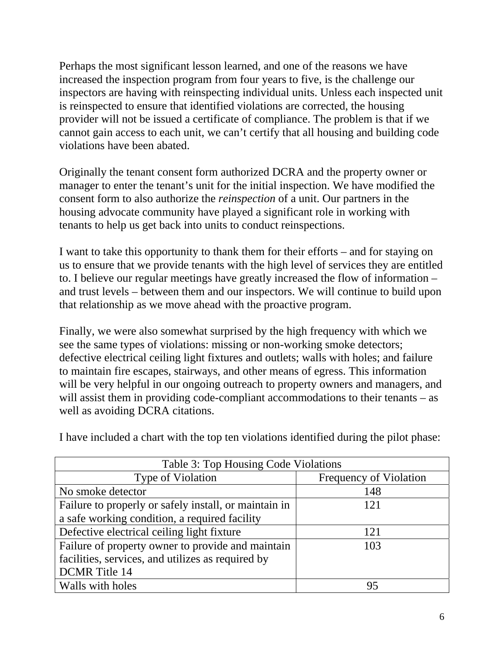Perhaps the most significant lesson learned, and one of the reasons we have increased the inspection program from four years to five, is the challenge our inspectors are having with reinspecting individual units. Unless each inspected unit is reinspected to ensure that identified violations are corrected, the housing provider will not be issued a certificate of compliance. The problem is that if we cannot gain access to each unit, we can't certify that all housing and building code violations have been abated.

Originally the tenant consent form authorized DCRA and the property owner or manager to enter the tenant's unit for the initial inspection. We have modified the consent form to also authorize the *reinspection* of a unit. Our partners in the housing advocate community have played a significant role in working with tenants to help us get back into units to conduct reinspections.

I want to take this opportunity to thank them for their efforts – and for staying on us to ensure that we provide tenants with the high level of services they are entitled to. I believe our regular meetings have greatly increased the flow of information – and trust levels – between them and our inspectors. We will continue to build upon that relationship as we move ahead with the proactive program.

Finally, we were also somewhat surprised by the high frequency with which we see the same types of violations: missing or non-working smoke detectors; defective electrical ceiling light fixtures and outlets; walls with holes; and failure to maintain fire escapes, stairways, and other means of egress. This information will be very helpful in our ongoing outreach to property owners and managers, and will assist them in providing code-compliant accommodations to their tenants – as well as avoiding DCRA citations.

| Table 3: Top Housing Code Violations                  |                               |  |  |
|-------------------------------------------------------|-------------------------------|--|--|
| Type of Violation                                     | <b>Frequency of Violation</b> |  |  |
| No smoke detector                                     | 148                           |  |  |
| Failure to properly or safely install, or maintain in | 121                           |  |  |
| a safe working condition, a required facility         |                               |  |  |
| Defective electrical ceiling light fixture            | 121                           |  |  |
| Failure of property owner to provide and maintain     | 103                           |  |  |
| facilities, services, and utilizes as required by     |                               |  |  |
| <b>DCMR</b> Title 14                                  |                               |  |  |
| Walls with holes                                      | 95                            |  |  |

I have included a chart with the top ten violations identified during the pilot phase: